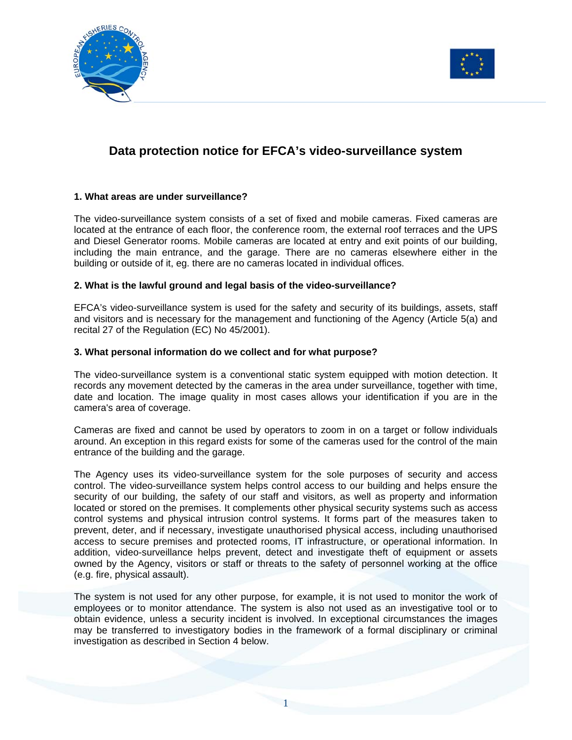



# **Data protection notice for EFCA's video-surveillance system**

## **1. What areas are under surveillance?**

The video-surveillance system consists of a set of fixed and mobile cameras. Fixed cameras are located at the entrance of each floor, the conference room, the external roof terraces and the UPS and Diesel Generator rooms. Mobile cameras are located at entry and exit points of our building, including the main entrance, and the garage. There are no cameras elsewhere either in the building or outside of it, eg. there are no cameras located in individual offices.

### **2. What is the lawful ground and legal basis of the video-surveillance?**

EFCA's video-surveillance system is used for the safety and security of its buildings, assets, staff and visitors and is necessary for the management and functioning of the Agency (Article 5(a) and recital 27 of the Regulation (EC) No 45/2001).

### **3. What personal information do we collect and for what purpose?**

The video-surveillance system is a conventional static system equipped with motion detection. It records any movement detected by the cameras in the area under surveillance, together with time, date and location. The image quality in most cases allows your identification if you are in the camera's area of coverage.

Cameras are fixed and cannot be used by operators to zoom in on a target or follow individuals around. An exception in this regard exists for some of the cameras used for the control of the main entrance of the building and the garage.

The Agency uses its video-surveillance system for the sole purposes of security and access control. The video-surveillance system helps control access to our building and helps ensure the security of our building, the safety of our staff and visitors, as well as property and information located or stored on the premises. It complements other physical security systems such as access control systems and physical intrusion control systems. It forms part of the measures taken to prevent, deter, and if necessary, investigate unauthorised physical access, including unauthorised access to secure premises and protected rooms, IT infrastructure, or operational information. In addition, video-surveillance helps prevent, detect and investigate theft of equipment or assets owned by the Agency, visitors or staff or threats to the safety of personnel working at the office (e.g. fire, physical assault).

The system is not used for any other purpose, for example, it is not used to monitor the work of employees or to monitor attendance. The system is also not used as an investigative tool or to obtain evidence, unless a security incident is involved. In exceptional circumstances the images may be transferred to investigatory bodies in the framework of a formal disciplinary or criminal investigation as described in Section 4 below.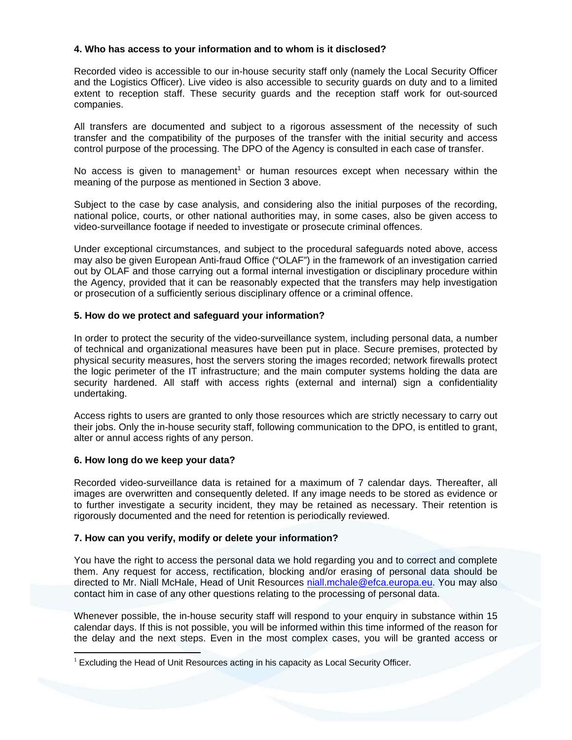# **4. Who has access to your information and to whom is it disclosed?**

Recorded video is accessible to our in-house security staff only (namely the Local Security Officer and the Logistics Officer). Live video is also accessible to security guards on duty and to a limited extent to reception staff. These security guards and the reception staff work for out-sourced companies.

All transfers are documented and subject to a rigorous assessment of the necessity of such transfer and the compatibility of the purposes of the transfer with the initial security and access control purpose of the processing. The DPO of the Agency is consulted in each case of transfer.

No access is given to management<sup>1</sup> or human resources except when necessary within the meaning of the purpose as mentioned in Section 3 above.

Subject to the case by case analysis, and considering also the initial purposes of the recording, national police, courts, or other national authorities may, in some cases, also be given access to video-surveillance footage if needed to investigate or prosecute criminal offences.

Under exceptional circumstances, and subject to the procedural safeguards noted above, access may also be given European Anti-fraud Office ("OLAF") in the framework of an investigation carried out by OLAF and those carrying out a formal internal investigation or disciplinary procedure within the Agency, provided that it can be reasonably expected that the transfers may help investigation or prosecution of a sufficiently serious disciplinary offence or a criminal offence.

## **5. How do we protect and safeguard your information?**

In order to protect the security of the video-surveillance system, including personal data, a number of technical and organizational measures have been put in place. Secure premises, protected by physical security measures, host the servers storing the images recorded; network firewalls protect the logic perimeter of the IT infrastructure; and the main computer systems holding the data are security hardened. All staff with access rights (external and internal) sign a confidentiality undertaking.

Access rights to users are granted to only those resources which are strictly necessary to carry out their jobs. Only the in-house security staff, following communication to the DPO, is entitled to grant, alter or annul access rights of any person.

### **6. How long do we keep your data?**

 $\overline{a}$ 

Recorded video-surveillance data is retained for a maximum of 7 calendar days. Thereafter, all images are overwritten and consequently deleted. If any image needs to be stored as evidence or to further investigate a security incident, they may be retained as necessary. Their retention is rigorously documented and the need for retention is periodically reviewed.

### **7. How can you verify, modify or delete your information?**

You have the right to access the personal data we hold regarding you and to correct and complete them. Any request for access, rectification, blocking and/or erasing of personal data should be directed to Mr. Niall McHale, Head of Unit Resources niall.mchale@efca.europa.eu. You may also contact him in case of any other questions relating to the processing of personal data.

Whenever possible, the in-house security staff will respond to your enquiry in substance within 15 calendar days. If this is not possible, you will be informed within this time informed of the reason for the delay and the next steps. Even in the most complex cases, you will be granted access or

 $1$  Excluding the Head of Unit Resources acting in his capacity as Local Security Officer.